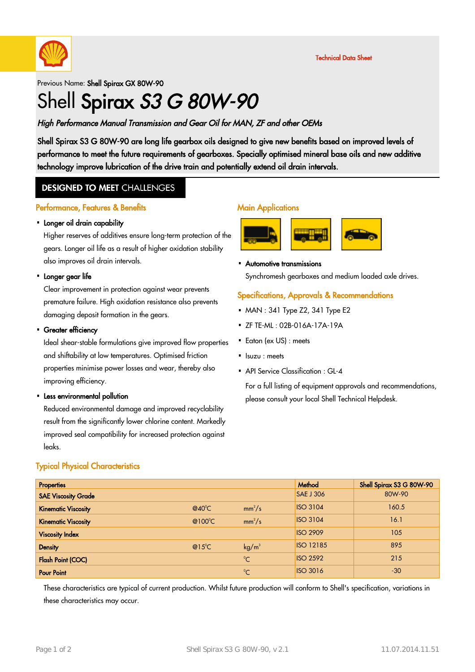

#### Previous Name: Shell Spirax GX 80W-90

# Shell Spirax S3 G 80W-90

#### High Performance Manual Transmission and Gear Oil for MAN, ZF and other OEMs

Shell Spirax S3 G 80W-90 are long life gearbox oils designed to give new benefits based on improved levels of performance to meet the future requirements of gearboxes. Specially optimised mineral base oils and new additive technology improve lubrication of the drive train and potentially extend oil drain intervals.

### **DESIGNED TO MEET CHALLENGES**

#### Performance, Features & Benefits

## • Longer oil drain capability

Higher reserves of additives ensure long-term protection of the gears. Longer oil life as a result of higher oxidation stability also improves oil drain intervals.

## • Longer gear life

Clear improvement in protection against wear prevents premature failure. High oxidation resistance also prevents damaging deposit formation in the gears.

## Greater efficiency ·

Ideal shear-stable formulations give improved flow properties and shiftability at low temperatures. Optimised friction properties minimise power losses and wear, thereby also improving efficiency.

## • Less environmental pollution

Reduced environmental damage and improved recyclability result from the significantly lower chlorine content. Markedly improved seal compatibility for increased protection against leaks.

#### Typical Physical Characteristics

#### Properties According to the Contract of the Contract of the Contract of the Contract of the Shell Spirax S3 G 80W-90 SAE Viscosity Grade 80W-90 and the same state of the same state of the same state of the SAE J 306 80W-90 Kinematic Viscosity **Executive Contract Contract Contract Contract Contract Contract Contract Contract Contract Contract Contract Contract Contract Contract Contract Contract Contract Contract Contract Contract Contract Co**  $C \qquad \qquad \mathsf{mm}^2$  $|$ SO 3104  $|$  160.5 Kinematic Viscosity **Executive Contract Contract Contract Contract Contract Contract Contract Contract Contract Contract Contract Contract Contract Contract Contract Contract Contract Contract Contract Contract Contract Co**  $C \qquad \qquad \mathsf{mm}^2$ /s ISO 3104 16.1 **Viscosity Index ISO 2909** 105 **Density Density CONSIDERING CONSIDERING CONSIDERING CONSIDERING CONSIDERING CONSIDERING CONSIDERING CONSIDERING CONSIDERING CONSIDERING CONSIDERING CONSIDERING CONSIDERING CONSIDERING CONSIDERING CONSIDERING CONSIDERI**  $kq/m<sup>3</sup>$  $\overline{1}$  ISO 12185  $\overline{8}$  |  $\overline{8}$  895 **Flash Point (COC)** and the contract of the contract of the contract of the contract of the contract of the contract of the contract of the contract of the contract of the contract of the contract of the contract of the co  $\overline{SO\ 2592}$  215 **Pour Point** 2008 **Pour Point** 2008 **Pour Point 2008**  $\overline{1}$ SO 3016  $\overline{3}$   $\overline{3}$   $\overline{3}$   $\overline{3}$

These characteristics are typical of current production. Whilst future production will conform to Shell's specification, variations in these characteristics may occur.

#### **Main Applications**



Automotive transmissions ·

Synchromesh gearboxes and medium loaded axle drives.

#### Specifications, Approvals & Recommendations

- $-MAN: 341$  Type Z2, 341 Type E2
- ZF TE-ML : 02B-016A-17A-19A ·
- Eaton (ex US) : meets
- Isuzu : meets
- API Service Classification : GL-4

For a full listing of equipment approvals and recommendations, please consult your local Shell Technical Helpdesk.